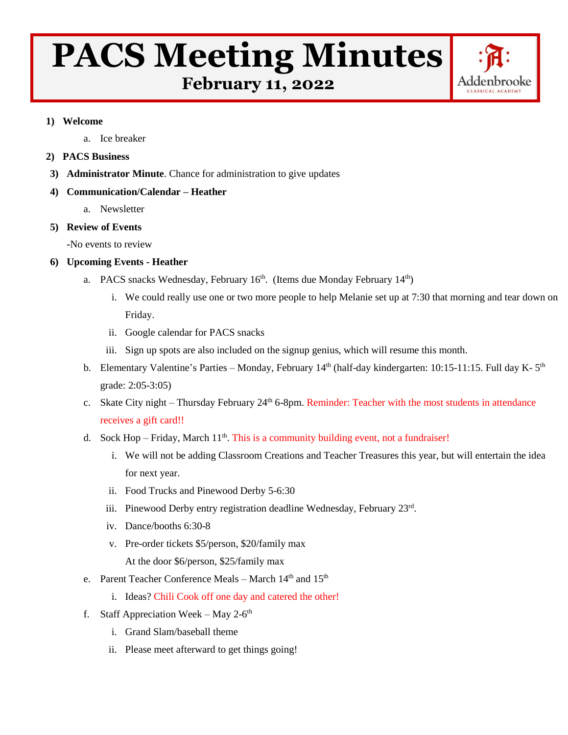# **PACS Meeting Minutes**



 **February 11, 2022**

#### **1) Welcome**

a. Ice breaker

## **2) PACS Business**

**3) Administrator Minute**. Chance for administration to give updates

## **4) Communication/Calendar – Heather**

a. Newsletter

# **5) Review of Events**

**-**No events to review

# **6) Upcoming Events - Heather**

- a. PACS snacks Wednesday, February 16<sup>th</sup>. (Items due Monday February 14<sup>th</sup>)
	- i. We could really use one or two more people to help Melanie set up at 7:30 that morning and tear down on Friday.
	- ii. Google calendar for PACS snacks
	- iii. Sign up spots are also included on the signup genius, which will resume this month.
- b. Elementary Valentine's Parties Monday, February 14<sup>th</sup> (half-day kindergarten: 10:15-11:15. Full day K-5<sup>th</sup> grade: 2:05-3:05)
- c. Skate City night Thursday February 24<sup>th</sup> 6-8pm. Reminder: Teacher with the most students in attendance receives a gift card!!
- d. Sock Hop Friday, March  $11<sup>th</sup>$ . This is a community building event, not a fundraiser!
	- i. We will not be adding Classroom Creations and Teacher Treasures this year, but will entertain the idea for next year.
	- ii. Food Trucks and Pinewood Derby 5-6:30
	- iii. Pinewood Derby entry registration deadline Wednesday, February 23rd.
	- iv. Dance/booths 6:30-8
	- v. Pre-order tickets \$5/person, \$20/family max At the door \$6/person, \$25/family max
- e. Parent Teacher Conference Meals March 14<sup>th</sup> and 15<sup>th</sup>
	- i. Ideas? Chili Cook off one day and catered the other!
- f. Staff Appreciation Week May 2- $6<sup>th</sup>$ 
	- i. Grand Slam/baseball theme
	- ii. Please meet afterward to get things going!